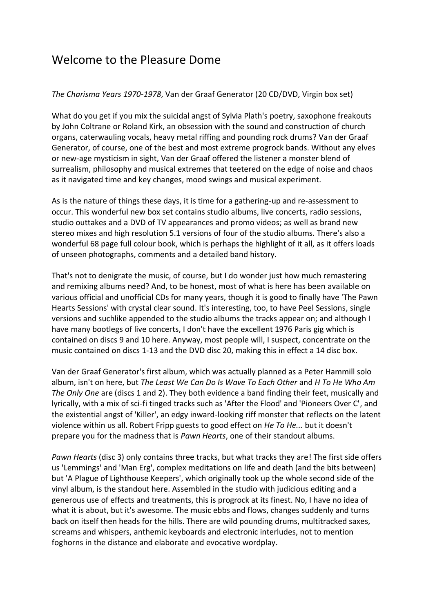## Welcome to the Pleasure Dome

## *The Charisma Years 1970-1978*, Van der Graaf Generator (20 CD/DVD, Virgin box set)

What do you get if you mix the suicidal angst of Sylvia Plath's poetry, saxophone freakouts by John Coltrane or Roland Kirk, an obsession with the sound and construction of church organs, caterwauling vocals, heavy metal riffing and pounding rock drums? Van der Graaf Generator, of course, one of the best and most extreme progrock bands. Without any elves or new-age mysticism in sight, Van der Graaf offered the listener a monster blend of surrealism, philosophy and musical extremes that teetered on the edge of noise and chaos as it navigated time and key changes, mood swings and musical experiment.

As is the nature of things these days, it is time for a gathering-up and re-assessment to occur. This wonderful new box set contains studio albums, live concerts, radio sessions, studio outtakes and a DVD of TV appearances and promo videos; as well as brand new stereo mixes and high resolution 5.1 versions of four of the studio albums. There's also a wonderful 68 page full colour book, which is perhaps the highlight of it all, as it offers loads of unseen photographs, comments and a detailed band history.

That's not to denigrate the music, of course, but I do wonder just how much remastering and remixing albums need? And, to be honest, most of what is here has been available on various official and unofficial CDs for many years, though it is good to finally have 'The Pawn Hearts Sessions' with crystal clear sound. It's interesting, too, to have Peel Sessions, single versions and suchlike appended to the studio albums the tracks appear on; and although I have many bootlegs of live concerts, I don't have the excellent 1976 Paris gig which is contained on discs 9 and 10 here. Anyway, most people will, I suspect, concentrate on the music contained on discs 1-13 and the DVD disc 20, making this in effect a 14 disc box.

Van der Graaf Generator's first album, which was actually planned as a Peter Hammill solo album, isn't on here, but *The Least We Can Do Is Wave To Each Other* and *H To He Who Am The Only One* are (discs 1 and 2). They both evidence a band finding their feet, musically and lyrically, with a mix of sci-fi tinged tracks such as 'After the Flood' and 'Pioneers Over C', and the existential angst of 'Killer', an edgy inward-looking riff monster that reflects on the latent violence within us all. Robert Fripp guests to good effect on *He To He...* but it doesn't prepare you for the madness that is *Pawn Hearts*, one of their standout albums.

*Pawn Hearts* (disc 3) only contains three tracks, but what tracks they are! The first side offers us 'Lemmings' and 'Man Erg', complex meditations on life and death (and the bits between) but 'A Plague of Lighthouse Keepers', which originally took up the whole second side of the vinyl album, is the standout here. Assembled in the studio with judicious editing and a generous use of effects and treatments, this is progrock at its finest. No, I have no idea of what it is about, but it's awesome. The music ebbs and flows, changes suddenly and turns back on itself then heads for the hills. There are wild pounding drums, multitracked saxes, screams and whispers, anthemic keyboards and electronic interludes, not to mention foghorns in the distance and elaborate and evocative wordplay.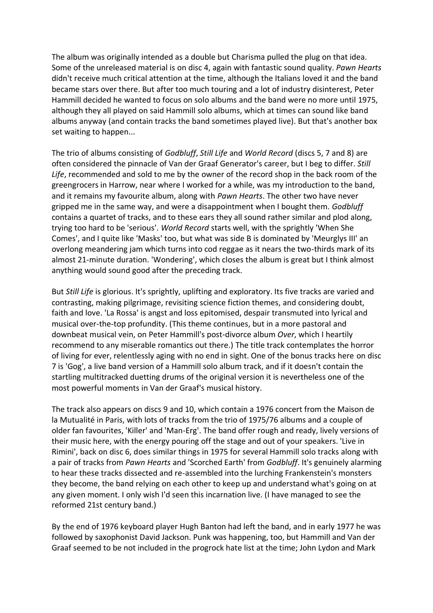The album was originally intended as a double but Charisma pulled the plug on that idea. Some of the unreleased material is on disc 4, again with fantastic sound quality. *Pawn Hearts* didn't receive much critical attention at the time, although the Italians loved it and the band became stars over there. But after too much touring and a lot of industry disinterest, Peter Hammill decided he wanted to focus on solo albums and the band were no more until 1975, although they all played on said Hammill solo albums, which at times can sound like band albums anyway (and contain tracks the band sometimes played live). But that's another box set waiting to happen...

The trio of albums consisting of *Godbluff*, *Still Life* and *World Record* (discs 5, 7 and 8) are often considered the pinnacle of Van der Graaf Generator's career, but I beg to differ. *Still Life*, recommended and sold to me by the owner of the record shop in the back room of the greengrocers in Harrow, near where I worked for a while, was my introduction to the band, and it remains my favourite album, along with *Pawn Hearts*. The other two have never gripped me in the same way, and were a disappointment when I bought them. *Godbluff* contains a quartet of tracks, and to these ears they all sound rather similar and plod along, trying too hard to be 'serious'. *World Record* starts well, with the sprightly 'When She Comes', and I quite like 'Masks' too, but what was side B is dominated by 'Meurglys III' an overlong meandering jam which turns into cod reggae as it nears the two-thirds mark of its almost 21-minute duration. 'Wondering', which closes the album is great but I think almost anything would sound good after the preceding track.

But *Still Life* is glorious. It's sprightly, uplifting and exploratory. Its five tracks are varied and contrasting, making pilgrimage, revisiting science fiction themes, and considering doubt, faith and love. 'La Rossa' is angst and loss epitomised, despair transmuted into lyrical and musical over-the-top profundity. (This theme continues, but in a more pastoral and downbeat musical vein, on Peter Hammill's post-divorce album *Over*, which I heartily recommend to any miserable romantics out there.) The title track contemplates the horror of living for ever, relentlessly aging with no end in sight. One of the bonus tracks here on disc 7 is 'Gog', a live band version of a Hammill solo album track, and if it doesn't contain the startling multitracked duetting drums of the original version it is nevertheless one of the most powerful moments in Van der Graaf's musical history.

The track also appears on discs 9 and 10, which contain a 1976 concert from the Maison de la Mutualité in Paris, with lots of tracks from the trio of 1975/76 albums and a couple of older fan favourites, 'Killer' and 'Man-Erg'. The band offer rough and ready, lively versions of their music here, with the energy pouring off the stage and out of your speakers. 'Live in Rimini', back on disc 6, does similar things in 1975 for several Hammill solo tracks along with a pair of tracks from *Pawn Hearts* and 'Scorched Earth' from *Godbluff*. It's genuinely alarming to hear these tracks dissected and re-assembled into the lurching Frankenstein's monsters they become, the band relying on each other to keep up and understand what's going on at any given moment. I only wish I'd seen this incarnation live. (I have managed to see the reformed 21st century band.)

By the end of 1976 keyboard player Hugh Banton had left the band, and in early 1977 he was followed by saxophonist David Jackson. Punk was happening, too, but Hammill and Van der Graaf seemed to be not included in the progrock hate list at the time; John Lydon and Mark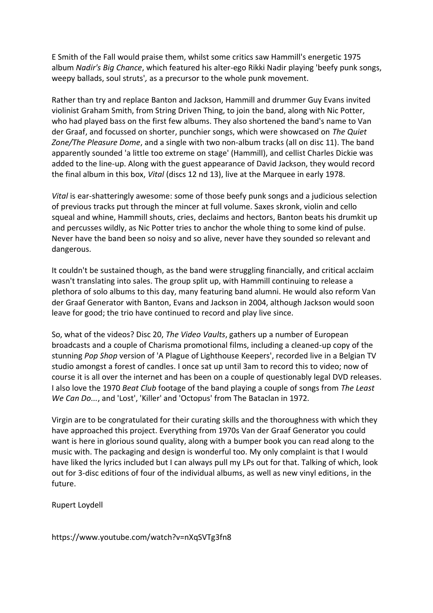E Smith of the Fall would praise them, whilst some critics saw Hammill's energetic 1975 album *Nadir's Big Chance*, which featured his alter-ego Rikki Nadir playing 'beefy punk songs, weepy ballads, soul struts'*,* as a precursor to the whole punk movement.

Rather than try and replace Banton and Jackson, Hammill and drummer Guy Evans invited violinist Graham Smith, from String Driven Thing, to join the band, along with Nic Potter, who had played bass on the first few albums. They also shortened the band's name to Van der Graaf, and focussed on shorter, punchier songs, which were showcased on *The Quiet Zone/The Pleasure Dome*, and a single with two non-album tracks (all on disc 11). The band apparently sounded 'a little too extreme on stage' (Hammill), and cellist Charles Dickie was added to the line-up. Along with the guest appearance of David Jackson, they would record the final album in this box, *Vital* (discs 12 nd 13), live at the Marquee in early 1978.

*Vital* is ear-shatteringly awesome: some of those beefy punk songs and a judicious selection of previous tracks put through the mincer at full volume. Saxes skronk, violin and cello squeal and whine, Hammill shouts, cries, declaims and hectors, Banton beats his drumkit up and percusses wildly, as Nic Potter tries to anchor the whole thing to some kind of pulse. Never have the band been so noisy and so alive, never have they sounded so relevant and dangerous.

It couldn't be sustained though, as the band were struggling financially, and critical acclaim wasn't translating into sales. The group split up, with Hammill continuing to release a plethora of solo albums to this day, many featuring band alumni. He would also reform Van der Graaf Generator with Banton, Evans and Jackson in 2004, although Jackson would soon leave for good; the trio have continued to record and play live since.

So, what of the videos? Disc 20, *The Video Vaults*, gathers up a number of European broadcasts and a couple of Charisma promotional films, including a cleaned-up copy of the stunning *Pop Shop* version of 'A Plague of Lighthouse Keepers', recorded live in a Belgian TV studio amongst a forest of candles. I once sat up until 3am to record this to video; now of course it is all over the internet and has been on a couple of questionably legal DVD releases. I also love the 1970 *Beat Club* footage of the band playing a couple of songs from *The Least We Can Do...*, and 'Lost', 'Killer' and 'Octopus' from The Bataclan in 1972.

Virgin are to be congratulated for their curating skills and the thoroughness with which they have approached this project. Everything from 1970s Van der Graaf Generator you could want is here in glorious sound quality, along with a bumper book you can read along to the music with. The packaging and design is wonderful too. My only complaint is that I would have liked the lyrics included but I can always pull my LPs out for that. Talking of which, look out for 3-disc editions of four of the individual albums, as well as new vinyl editions, in the future.

Rupert Loydell

https://www.youtube.com/watch?v=nXqSVTg3fn8